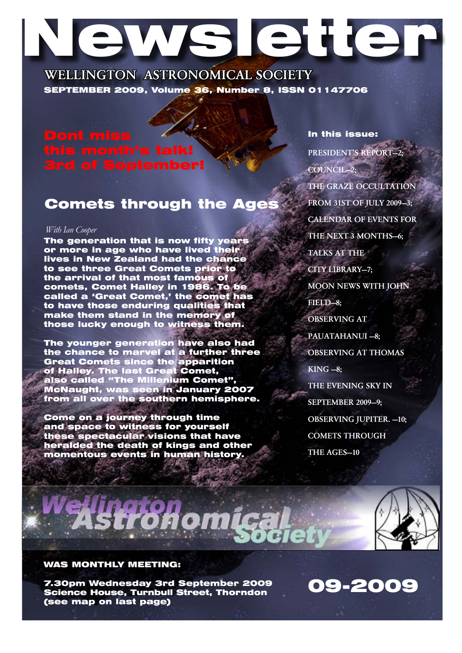# Newsletter

WELLINGTON ASTRONOMICAL SOCIETY SEPTEMBER 2009, Volume 36, Number 8, ISSN 01147706

# of September!

# Comets through the Ages

#### *With Ian Cooper*

The generation that is now fifty years or more in age who have lived their lives in New Zealand had the chance to see three Great Comets prior to the arrival of that most famous of comets, Comet Halley in 1986. To be called a 'Great Comet,' the comet has to have those enduring qualities that make them stand in the memory of those lucky enough to witness them.

The younger generation have also had the chance to marvel at a further three Great Comets since the apparition of Halley. The last Great Comet, also called "The Millenium Comet", McNaught, was seen in January 2007 from all over the southern hemisphere.

Come on a journey through time and space to witness for yourself these spectacular visions that have heralded the death of kings and other momentous events in human history.

PRESIDENT'S REPORT—2; COUNCIL—2; The Graze Occultation from 31st of July 2009—3; Calendar of events for THE NEXT 3 MONTHS-6: TALKS AT THE CITY LIBRARY-7: Moon News with John FIELD-8: OBSERVING AT PAUATAHANUI —8; OBSERVING AT THOMAS KING —8; THE EVENING SKY IN SEPTEMBER 2009—9; Observing Jupiter. —10; COMETS THROUGH THE AGES-10

09-2009

In this issue:



### WAS MONTHLY MEETING:

7.30pm Wednesday 3rd September 2009 Science House, Turnbull Street, Thorndon (see map on last page)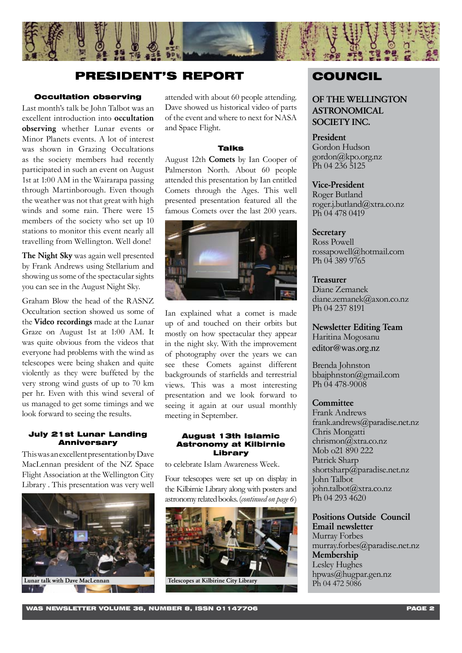

# PRESIDENT'S REPORT COUNCIL

#### Occultation observing

Last month's talk be John Talbot was an excellent introduction into occultation observing whether Lunar events or Minor Planets events. A lot of interest was shown in Grazing Occultations as the society members had recently participated in such an event on August 1st at 1:00 AM in the Wairarapa passing through Martinborough. Even though the weather was not that great with high winds and some rain. There were 15 members of the society who set up 10 stations to monitor this event nearly all travelling from Wellington. Well done!

The Night Sky was again well presented by Frank Andrews using Stellarium and showing us some of the spectacular sights you can see in the August Night Sky.

Graham Blow the head of the RASNZ Occultation section showed us some of the Video recordings made at the Lunar Graze on August 1st at 1:00 AM. It was quite obvious from the videos that everyone had problems with the wind as telescopes were being shaken and quite violently as they were buffeted by the very strong wind gusts of up to 70 km per hr. Even with this wind several of us managed to get some timings and we look forward to seeing the results.

#### July 21st Lunar Landing **Anniversary**

This was an excellent presentation by Dave MacLennan president of the NZ Space Flight Association at the Wellington City Library . This presentation was very well



attended with about 60 people attending. Dave showed us historical video of parts of the event and where to next for NASA and Space Flight.

#### **Talks**

August 12th Comets by Ian Cooper of Palmerston North. About 60 people attended this presentation by Ian entitled Comets through the Ages. This well presented presentation featured all the famous Comets over the last 200 years.



Ian explained what a comet is made up of and touched on their orbits but mostly on how spectacular they appear in the night sky. With the improvement of photography over the years we can see these Comets against different backgrounds of starfields and terrestrial views. This was a most interesting presentation and we look forward to seeing it again at our usual monthly meeting in September.

#### August 13th Islamic Astronomy at Kilbirnie Library

to celebrate Islam Awareness Week.

Four telescopes were set up on display in the Kilbirnie Library along with posters and astronomy related books. (*continued on page 6*)



OF THE WELLINGTON ASTRONOMICAL SOCIETY INC.

#### President

Gordon Hudson gordon@kpo.org.nz Ph 04 236 5125

#### Vice-President

Roger Butland roger.j.butland@xtra.co.nz Ph 04 478 0419

#### **Secretary**

Ross Powell rossapowell@hotmail.com Ph 04 389 9765

#### Treasurer Diane Zemanek diane.zemanek@axon.co.nz Ph 04 237 8191

Newsletter Editing Team Haritina Mogosanu editor@was.org.nz

Brenda Johnston bbajphnston@gmail.com Ph 04 478-9008

#### **Committee**

Frank Andrews frank.andrews@paradise.net.nz Chris Mongatti chrismon@xtra.co.nz Mob o21 890 222 Patrick Sharp shortsharp@paradise.net.nz John Talbot john.talbot@xtra.co.nz Ph 04 293 4620

## Positions Outside Council Email newsletter

Murray Forbes murray.forbes@paradise.net.nz Membership Lesley Hughes hpwas@hugpar.gen.nz Ph 04 472 5086

WAS NEWSLETTER VOLUME 36, NUMBER 8, ISSN 01147706 PAGE 2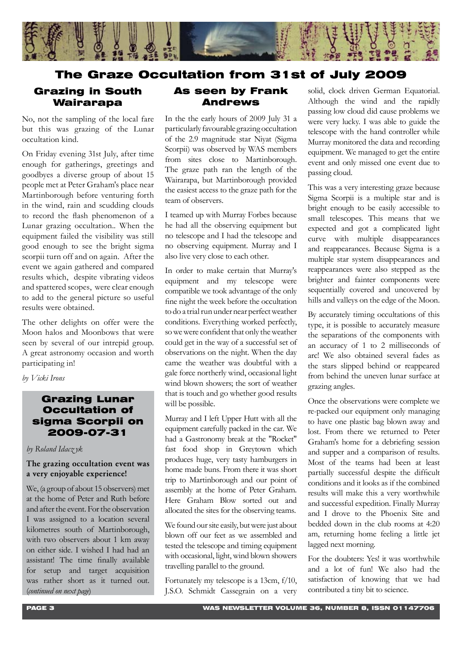

# The Graze Occultation from 31st of July 2009

# Grazing in South Wairarapa

No, not the sampling of the local fare but this was grazing of the Lunar occultation kind.

On Friday evening 31st July, after time enough for gatherings, greetings and goodbyes a diverse group of about 15 people met at Peter Graham's place near Martinborough before venturing forth in the wind, rain and scudding clouds to record the flash phenomenon of a Lunar grazing occultation.. When the equipment failed the visibility was still good enough to see the bright sigma scorpii turn off and on again. After the event we again gathered and compared results which, despite vibrating videos and spattered scopes, were clear enough to add to the general picture so useful results were obtained.

The other delights on offer were the Moon halos and Moonbows that were seen by several of our intrepid group. A great astronomy occasion and worth participating in!

*by Vicki Irons*

### Grazing Lunar Occultation of sigma Scorpii on 2009-07-31

#### *by Roland Idacz yk*

#### The grazing occultation event was a very enjoyable experience!

We, (a group of about 15 observers) met at the home of Peter and Ruth before and after the event. For the observation I was assigned to a location several kilometres south of Martinborough, with two observers about 1 km away on either side. I wished I had had an assistant! The time finally available for setup and target acquisition was rather short as it turned out. (*continued on next page*)

## As seen by Frank Andrews

In the the early hours of 2009 July 31 a particularly favourable grazing occultation of the 2.9 magnitude star Niyat (Sigma Scorpii) was observed by WAS members from sites close to Martinborough. The graze path ran the length of the Wairarapa, but Martinborough provided the easiest access to the graze path for the team of observers.

I teamed up with Murray Forbes because he had all the observing equipment but no telescope and I had the telescope and no observing equipment. Murray and I also live very close to each other.

In order to make certain that Murray's equipment and my telescope were compatible we took advantage of the only fine night the week before the occultation to do a trial run under near perfect weather conditions. Everything worked perfectly, so we were confident that only the weather could get in the way of a successful set of observations on the night. When the day came the weather was doubtful with a gale force northerly wind, occasional light wind blown showers; the sort of weather that is touch and go whether good results will be possible.

Murray and I left Upper Hutt with all the equipment carefully packed in the car. We had a Gastronomy break at the "Rocket" fast food shop in Greytown which produces huge, very tasty hamburgers in home made buns. From there it was short trip to Martinborough and our point of assembly at the home of Peter Graham. Here Graham Blow sorted out and allocated the sites for the observing teams.

We found our site easily, but were just about blown off our feet as we assembled and tested the telescope and timing equipment with occasional, light, wind blown showers travelling parallel to the ground.

Fortunately my telescope is a 13cm, f/10, J.S.O. Schmidt Cassegrain on a very

solid, clock driven German Equatorial. Although the wind and the rapidly passing low cloud did cause problems we were very lucky. I was able to guide the telescope with the hand controller while Murray monitored the data and recording equipment. We managed to get the entire event and only missed one event due to passing cloud.

This was a very interesting graze because Sigma Scorpii is a multiple star and is bright enough to be easily accessible to small telescopes. This means that we expected and got a complicated light curve with multiple disappearances and reappearances. Because Sigma is a multiple star system disappearances and reappearances were also stepped as the brighter and fainter components were sequentially covered and uncovered by hills and valleys on the edge of the Moon.

By accurately timing occultations of this type, it is possible to accurately measure the separations of the components with an accuracy of 1 to 2 milliseconds of arc! We also obtained several fades as the stars slipped behind or reappeared from behind the uneven lunar surface at grazing angles.

Once the observations were complete we re-packed our equipment only managing to have one plastic bag blown away and lost. From there we returned to Peter Graham's home for a debriefing session and supper and a comparison of results. Most of the teams had been at least partially successful despite the difficult conditions and it looks as if the combined results will make this a very worthwhile and successful expedition. Finally Murray and I drove to the Phoenix Site and bedded down in the club rooms at 4:20 am, returning home feeling a little jet lagged next morning.

For the doubters: Yes! it was worthwhile and a lot of fun! We also had the satisfaction of knowing that we had contributed a tiny bit to science.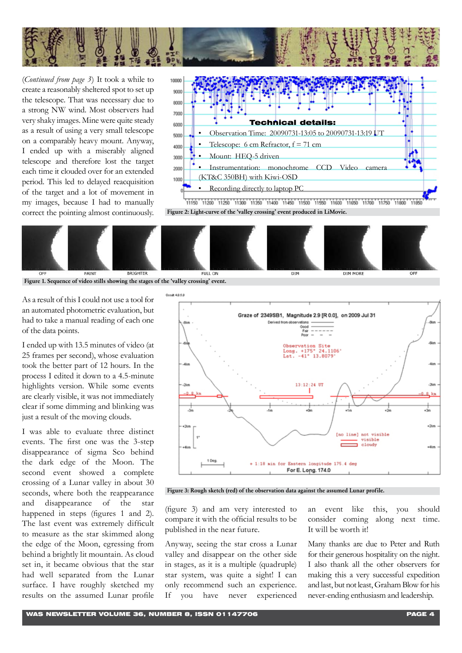

(*Continued from page 3*) It took a while to create a reasonably sheltered spot to set up the telescope. That was necessary due to a strong NW wind. Most observers had very shaky images. Mine were quite steady as a result of using a very small telescope on a comparably heavy mount. Anyway, I ended up with a miserably aligned telescope and therefore lost the target each time it clouded over for an extended period. This led to delayed reacquisition of the target and a lot of movement in my images, because I had to manually correct the pointing almost continuously.



Figure 2: Light-curve of the 'valley crossing' event produced in LiMovie.



Figure 1. Sequence of video stills showing the stages of the 'valley crossing' event.

As a result of this I could not use a tool for an automated photometric evaluation, but had to take a manual reading of each one of the data points.

I ended up with 13.5 minutes of video (at 25 frames per second), whose evaluation took the better part of 12 hours. In the process I edited it down to a 4.5-minute highlights version. While some events are clearly visible, it was not immediately clear if some dimming and blinking was just a result of the moving clouds.

I was able to evaluate three distinct events. The first one was the 3-step disappearance of sigma Sco behind the dark edge of the Moon. The second event showed a complete crossing of a Lunar valley in about 30 seconds, where both the reappearance and disappearance of the star happened in steps (figures 1 and 2). The last event was extremely difficult to measure as the star skimmed along the edge of the Moon, egressing from behind a brightly lit mountain. As cloud set in, it became obvious that the star had well separated from the Lunar surface. I have roughly sketched my results on the assumed Lunar profile



Figure 3: Rough sketch (red) of the observation data against the assumed Lunar profile.

(figure 3) and am very interested to compare it with the official results to be published in the near future.

Anyway, seeing the star cross a Lunar valley and disappear on the other side in stages, as it is a multiple (quadruple) star system, was quite a sight! I can only recommend such an experience. If you have never experienced

an event like this, you should consider coming along next time. It will be worth it!

Many thanks are due to Peter and Ruth for their generous hospitality on the night. I also thank all the other observers for making this a very successful expedition and last, but not least, Graham Blow for his never-ending enthusiasm and leadership.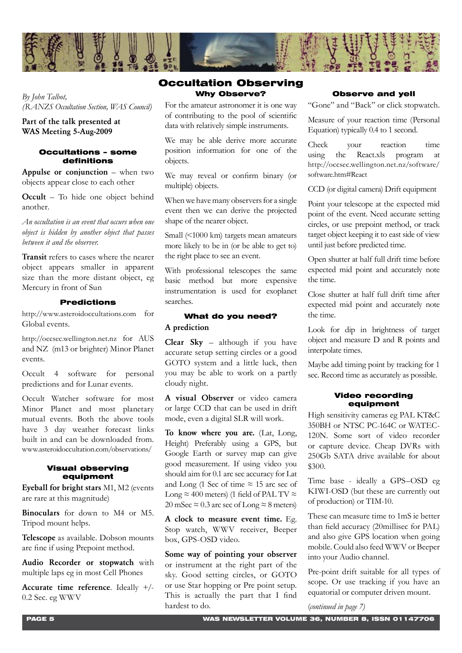

*By John Talbot, (RANZS Occultation Section, WAS Council)* 

#### Part of the talk presented at WAS Meeting 5-Aug-2009

#### Occultations – some definitions

Appulse or conjunction  $-$  when two objects appear close to each other

Occult – To hide one object behind another.

*An occultation is an event that occurs when one object is hidden by another object that passes between it and the observer.*

Transit refers to cases where the nearer object appears smaller in apparent size than the more distant object, eg Mercury in front of Sun

#### Predictions

http://www.asteroidoccultations.com for Global events.

http://occsec.wellington.net.nz for AUS and NZ (m13 or brighter) Minor Planet events.

Occult 4 software for personal predictions and for Lunar events.

Occult Watcher software for most Minor Planet and most planetary mutual events. Both the above tools have 3 day weather forecast links built in and can be downloaded from. www.asteroidoccultation.com/observations/

#### Visual observing equipment

Eyeball for bright stars M1, M2 (events are rare at this magnitude)

Binoculars for down to M4 or M5. Tripod mount helps.

Telescope as available. Dobson mounts are fine if using Prepoint method.

Audio Recorder or stopwatch with multiple laps eg in most Cell Phones

Accurate time reference. Ideally +/- 0.2 Sec. eg WWV

### Why Observe? Occultation Observing

For the amateur astronomer it is one way of contributing to the pool of scientific data with relatively simple instruments.

We may be able derive more accurate position information for one of the objects.

We may reveal or confirm binary (or multiple) objects.

When we have many observers for a single event then we can derive the projected shape of the nearer object.

Small (<1000 km) targets mean amateurs more likely to be in (or be able to get to) the right place to see an event.

With professional telescopes the same basic method but more expensive instrumentation is used for exoplanet searches.

#### What do you need? A prediction

Clear Sky – although if you have accurate setup setting circles or a good GOTO system and a little luck, then you may be able to work on a partly cloudy night.

A visual Observer or video camera or large CCD that can be used in drift mode, even a digital SLR will work.

To know where you are. (Lat, Long, Height) Preferably using a GPS, but Google Earth or survey map can give good measurement. If using video you should aim for 0.1 arc sec accuracy for Lat and Long (1 Sec of time  $\approx$  15 arc sec of Long  $\approx$  400 meters) (1 field of PAL TV  $\approx$ 20 mSec  $\approx$  0.3 arc sec of Long  $\approx$  8 meters)

A clock to measure event time. Eg. Stop watch, WWV receiver, Beeper box, GPS-OSD video.

Some way of pointing your observer or instrument at the right part of the sky. Good setting circles, or GOTO or use Star hopping or Pre point setup. This is actually the part that I find hardest to do.

#### Observe and yell

"Gone" and "Back" or click stopwatch.

Measure of your reaction time (Personal Equation) typically 0.4 to 1 second.

Check your reaction time using the React.xls program at http://occsec.wellington.net.nz/software/ software.htm#React

CCD (or digital camera) Drift equipment

Point your telescope at the expected mid point of the event. Need accurate setting circles, or use prepoint method, or track target object keeping it to east side of view until just before predicted time.

Open shutter at half full drift time before expected mid point and accurately note the time.

Close shutter at half full drift time after expected mid point and accurately note the time.

Look for dip in brightness of target object and measure D and R points and interpolate times.

Maybe add timing point by tracking for 1 sec. Record time as accurately as possible.

#### Video recording equipment

High sensitivity cameras eg PAL KT&C 350BH or NTSC PC-164C or WATEC-120N. Some sort of video recorder or capture device. Cheap DVRs with 250Gb SATA drive available for about \$300.

Time base - ideally a GPS–OSD eg KIWI-OSD (but these are currently out of production) or TIM-10.

These can measure time to 1mS ie better than field accuracy (20millisec for PAL) and also give GPS location when going mobile. Could also feed WWV or Beeper into your Audio channel.

Pre-point drift suitable for all types of scope. Or use tracking if you have an equatorial or computer driven mount.

(*continued in page 7)*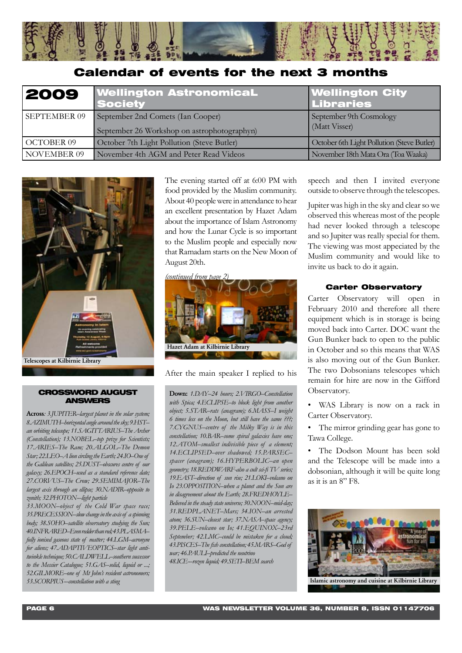

# Calendar of events for the next 3 months

| 2009              | <b>Wellington AstronomicaL</b><br><b>Society</b>                                 | <b>Wellington City</b><br><b>Libraries</b> |
|-------------------|----------------------------------------------------------------------------------|--------------------------------------------|
| SEPTEMBER 09      | September 2nd Comets (Ian Cooper)<br>September 26 Workshop on astrophotographyn) | September 9th Cosmology<br>(Matt Visser)   |
| <b>OCTOBER 09</b> | October 7th Light Pollution (Steve Butler)                                       | October 6th Light Pollution (Steve Butler) |
| NOVEMBER 09       | November 4th AGM and Peter Read Videos                                           | November 18th Mata Ora (Toa Waaka)         |



#### CROSSWORD AUGUST ANSWERS

Across*: 3.JUPITER–largest planet in the solar system; 8.AZIMUTH–horizontal angle around the sky; 9.HST– an orbiting telescope; 11.SAGITTARIUS–The Archer (Constellation); 13.NOBEL–top prize for Scientists; 17.ARIES–The Ram; 20.ALGOL–The Demon Star; 22.LEO–A lion circling the Earth; 24.IO–One of the Galilean satellites; 25.DUST–obscures centre of our galaxy; 26.EPOCH–used as a standard reference date; 27.CORVUS–The Crow; 29.SEMIMAJOR–The largest axis through an ellipse; 30.NADIR–opposite to zenith; 32.PHOTON-–light particle*

*33.MOON–object of the Cold War space race; 35.PRECESSION–slow change in the axis of a spinning body; 38.SOHO–satellite observatory studying the Sun; 40.INFRARED–Even redder than red; 43.PLASMA– fully ionised gaseous state of matter; 44.LGM–acronym for aliens; 47.ADAPTIVEOPTICS–star light antitwinkle technique; 50.CALDWELL–southern successor to the Messier Catalogue; 51.GAS–solid, liquid or ...; 52.GILMORE–one of Mt John's resident astronomers; 53.SCORPIUS-–constellation with a sting*

The evening started off at 6:00 PM with food provided by the Muslim community. About 40 people were in attendance to hear an excellent presentation by Hazet Adam about the importance of Islam Astronomy and how the Lunar Cycle is so important to the Muslim people and especially now that Ramadam starts on the New Moon of August 20th.



After the main speaker I replied to his

Down: *1.DAY–24 hours; 2.VIRGO–Constellation with Spica; 4.ECLIPSE–to block light from another object; 5.STAR–rats (anagram); 6.MASS–I weight 6 times less on the Moon, but still have the same ???; 7.CYGNUS–centre of the Milky Way is in this constellation; 10.BAR–some spiral galaxies have one; 12.ATOM–smallest indivisible piece of a element; 14.ECLIPSED–over shadowed; 15.PARSEC– spacer (anagram); 16.HYPERBOLIC–an open geometry; 18.REDDWARF-also a cult sci-fi TV series; 19.EAST–direction of sun rise; 21.LOKI–volcano on Io 23.OPPOSITION–when a planet and the Sun are in disagreement about the Earth; 28.FREDHOYLE– Believed in the steady state universe; 30.NOON–mid-day; 31.REDPLANET–Mars; 34.ION–an arrested atom; 36.SUN–closest star; 37.NASA–space agency; 39.PELE–volcano on Io; 41.EQUINOX–23rd September; 42.LMC–could be mistaken for a cloud; 43.PISCES–The fish constellation; 45.MARS–God of war; 46.PAULI–predicted the neutrino 48.ICE-–rozen liquid; 49.SETI–BEM search*

speech and then I invited everyone outside to observe through the telescopes.

Jupiter was high in the sky and clear so we observed this whereas most of the people had never looked through a telescope and so Jupiter was really special for them. The viewing was most appeciated by the Muslim community and would like to invite us back to do it again.

#### Carter Observatory

Carter Observatory will open in February 2010 and therefore all there equipment which is in storage is being moved back into Carter. DOC want the Gun Bunker back to open to the public in October and so this means that WAS is also moving out of the Gun Bunker. The two Dobsonians telescopes which remain for hire are now in the Gifford Observatory.

• WAS Library is now on a rack in Carter Observatory.

• The mirror grinding gear has gone to Tawa College.

The Dodson Mount has been sold and the Telescope will be made into a dobsonian, although it will be quite long as it is an 8" F8.

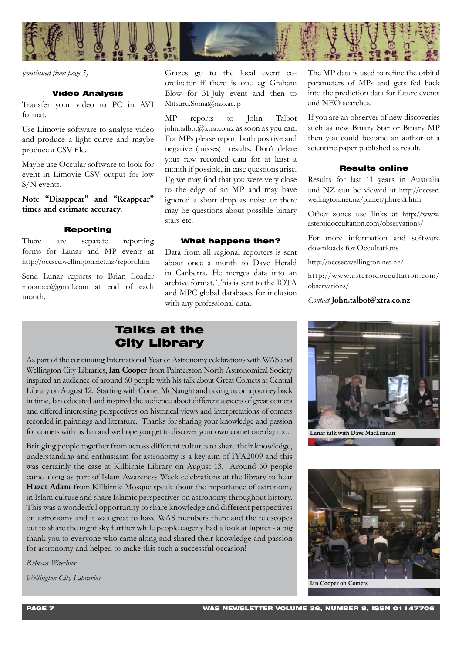

*(continued from page 5)*

#### Video Analysis

Transfer your video to PC in AVI format.

Use Limovie software to analyse video and produce a light curve and maybe produce a CSV file.

Maybe use Occular software to look for event in Limovie CSV output for low S/N events.

#### Note "Disappear" and "Reappear" times and estimate accuracy.

#### Reporting

There are separate reporting forms for Lunar and MP events at http://occsec.wellington.net.nz/report.htm

Send Lunar reports to Brian Loader moonocc@gmail.com at end of each month.

ordinator if there is one eg Graham Blow for 31-July event and then to Mitsuru.Soma@nao.ac.jp

MP reports to John Talbot john.talbot@xtra.co.nz as soon as you can. For MPs please report both positive and negative (misses) results. Don't delete your raw recorded data for at least a month if possible, in case questions arise. Eg we may find that you were very close to the edge of an MP and may have ignored a short drop as noise or there may be questions about possible binary stars etc.

#### What happens then?

Data from all regional reporters is sent about once a month to Dave Herald in Canberra. He merges data into an archive format. This is sent to the IOTA and MPC global databases for inclusion with any professional data.

The MP data is used to refine the orbital parameters of MPs and gets fed back into the prediction data for future events and NEO searches.

If you are an observer of new discoveries such as new Binary Star or Binary MP then you could become an author of a scientific paper published as result.

#### Results online

Results for last 11 years in Australia and NZ can be viewed at http://occsec. wellington.net.nz/planet/plnreslt.htm

Other zones use links at http://www. asteroidoccultation.com/observations/

For more information and software downloads for Occultations

http://occsec.wellington.net.nz/

http://www.asteroidoccultation.com/ observations/

*Contact* John.talbot@xtra.co.nz

# Talks at the City Library

As part of the continuing International Year of Astronomy celebrations with WAS and Wellington City Libraries, **Ian Cooper** from Palmerston North Astronomical Society inspired an audience of around 60 people with his talk about Great Comets at Central Library on August 12. Starting with Comet McNaught and taking us on a journey back in time, Ian educated and inspired the audience about different aspects of great comets and offered interesting perspectives on historical views and interpretations of comets recorded in paintings and literature. Thanks for sharing your knowledge and passion for comets with us Ian and we hope you get to discover your own comet one day too.

Bringing people together from across different cultures to share their knowledge, understanding and enthusiasm for astronomy is a key aim of IYA2009 and this was certainly the case at Kilbirnie Library on August 13. Around 60 people came along as part of Islam Awareness Week celebrations at the library to hear Hazet Adam from Kilbirnie Mosque speak about the importance of astronomy in Islam culture and share Islamic perspectives on astronomy throughout history. This was a wonderful opportunity to share knowledge and different perspectives on astronomy and it was great to have WAS members there and the telescopes out to share the night sky further while people eagerly had a look at Jupiter - a big thank you to everyone who came along and shared their knowledge and passion for astronomy and helped to make this such a successful occasion! *From the basis go to the local event co-* The MP data is equiver a spectral event co-<br> **C** in the local event co-<br> **Photo strain and the local exact co-**<br> **Photo strain and the local exact co-**<br> **Photo strain and the loc** 

*Rebecca Waechter*

*Wellington City Libraries*



Lunar talk with Dave MacLennan



Ian Cooper on Comets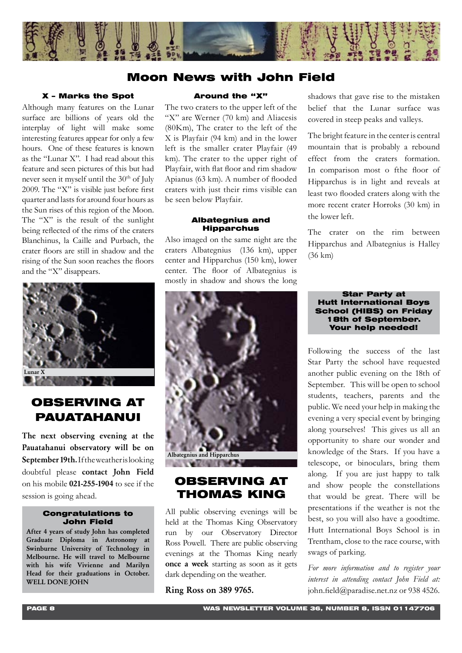

# Moon News with John Field

#### X – Marks the Spot

Although many features on the Lunar surface are billions of years old the interplay of light will make some interesting features appear for only a few hours. One of these features is known as the "Lunar X". I had read about this feature and seen pictures of this but had never seen it myself until the 30<sup>th</sup> of July 2009. The "X" is visible just before first quarter and lasts for around four hours as the Sun rises of this region of the Moon. The "X" is the result of the sunlight being reflected of the rims of the craters Blanchinus, la Caille and Purbach, the crater floors are still in shadow and the rising of the Sun soon reaches the floors and the "X" disappears.



# OBSERVING AT PAUATAHANUI

The next observing evening at the Pauatahanui observatory will be on September 19th. If the weather is looking doubtful please contact John Field on his mobile 021-255-1904 to see if the session is going ahead.

#### Congratulations to John Field

After 4 years of study John has completed Graduate Diploma in Astronomy at Swinburne University of Technology in Melbourne. He will travel to Melbourne with his wife Vivienne and Marilyn Head for their graduations in October. WELL DONE JOHN

#### Around the "X"

The two craters to the upper left of the "X" are Werner (70 km) and Aliacesis (80Km), The crater to the left of the X is Playfair (94 km) and in the lower left is the smaller crater Playfair (49 km). The crater to the upper right of Playfair, with flat floor and rim shadow Apianus (63 km). A number of flooded craters with just their rims visible can be seen below Playfair.

#### Albategnius and Hipparchus

Also imaged on the same night are the craters Albategnius (136 km), upper center and Hipparchus (150 km), lower center. The floor of Albategnius is mostly in shadow and shows the long



# OBSERVING AT THOMAS KING

All public observing evenings will be held at the Thomas King Observatory run by our Observatory Director Ross Powell. There are public observing evenings at the Thomas King nearly once a week starting as soon as it gets dark depending on the weather.

Ring Ross on 389 9765.

shadows that gave rise to the mistaken belief that the Lunar surface was covered in steep peaks and valleys.

The bright feature in the center is central mountain that is probably a rebound effect from the craters formation. In comparison most o fthe floor of Hipparchus is in light and reveals at least two flooded craters along with the more recent crater Horroks (30 km) in the lower left.

The crater on the rim between Hipparchus and Albategnius is Halley (36 km)

#### Star Party at Hutt International Boys School (HIBS) on Friday 18th of September. Your help needed!

Following the success of the last Star Party the school have requested another public evening on the 18th of September. This will be open to school students, teachers, parents and the public. We need your help in making the evening a very special event by bringing along yourselves! This gives us all an opportunity to share our wonder and knowledge of the Stars. If you have a telescope, or binoculars, bring them along. If you are just happy to talk and show people the constellations that would be great. There will be presentations if the weather is not the best, so you will also have a goodtime. Hutt International Boys School is in Trentham, close to the race course, with swags of parking.

*For more information and to register your interest in attending contact John Field at:*  john.field@paradise.net.nz or 938 4526.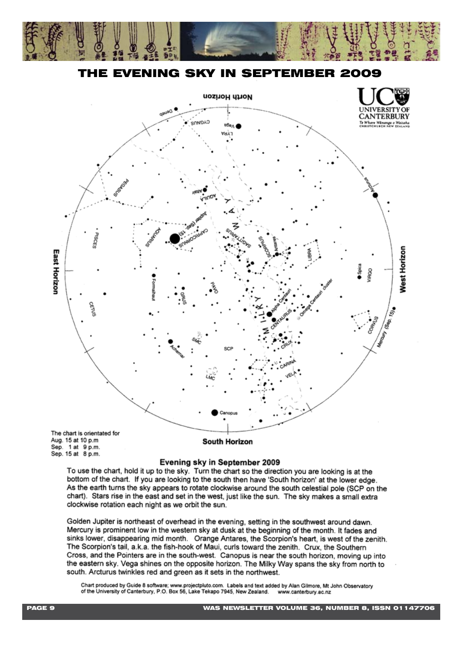

THE EVENING SKY IN SEPTEMBER 2009



Evening sky in September 2009

To use the chart, hold it up to the sky. Turn the chart so the direction you are looking is at the bottom of the chart. If you are looking to the south then have 'South horizon' at the lower edge. As the earth turns the sky appears to rotate clockwise around the south celestial pole (SCP on the chart). Stars rise in the east and set in the west, just like the sun. The sky makes a small extra clockwise rotation each night as we orbit the sun.

Golden Jupiter is northeast of overhead in the evening, setting in the southwest around dawn. Mercury is prominent low in the western sky at dusk at the beginning of the month. It fades and sinks lower, disappearing mid month. Orange Antares, the Scorpion's heart, is west of the zenith. The Scorpion's tail, a.k.a. the fish-hook of Maui, curls toward the zenith. Crux, the Southern Cross, and the Pointers are in the south-west. Canopus is near the south horizon, moving up into the eastern sky. Vega shines on the opposite horizon. The Milky Way spans the sky from north to south. Arcturus twinkles red and green as it sets in the northwest.

Chart produced by Guide 8 software; www.projectpluto.com. Labels and text added by Alan Gilmore, Mt John Observatory of the University of Canterbury, P.O. Box 56, Lake Tekapo 7945, New Zealand. www.canterbury.ac.nz